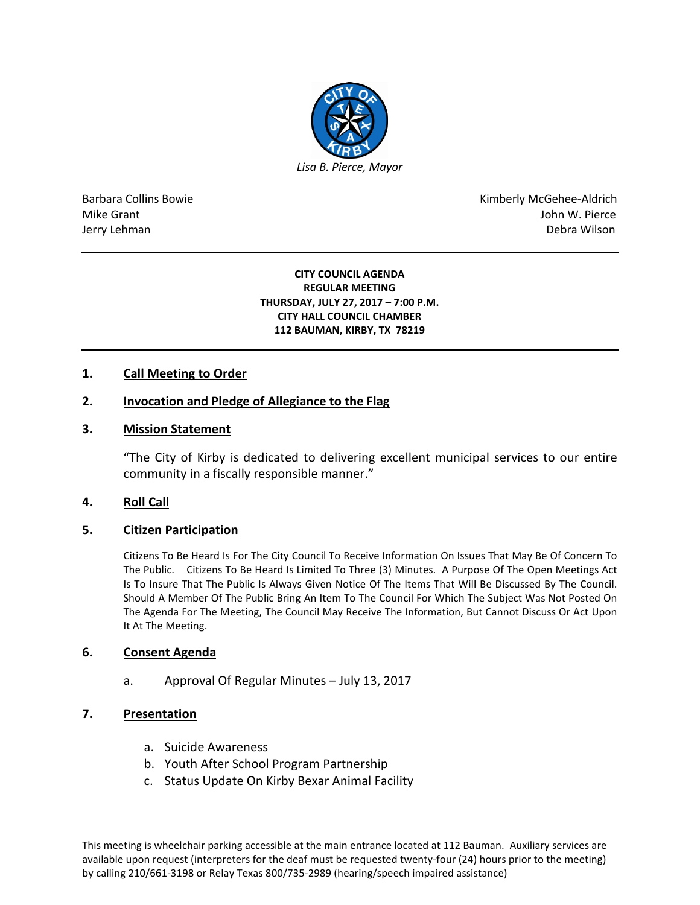

Barbara Collins Bowie **Kimberly McGehee-Aldrich** Mike Grant John W. Pierce Jerry Lehman Debra Wilson (2008) and the state of the state of the state of the state of the state of the state of the state of the state of the state of the state of the state of the state of the state of the state of the

#### **CITY COUNCIL AGENDA REGULAR MEETING THURSDAY, JULY 27, 2017 – 7:00 P.M. CITY HALL COUNCIL CHAMBER 112 BAUMAN, KIRBY, TX 78219**

# **1. Call Meeting to Order**

# **2. Invocation and Pledge of Allegiance to the Flag**

### **3. Mission Statement**

"The City of Kirby is dedicated to delivering excellent municipal services to our entire community in a fiscally responsible manner."

### **4. Roll Call**

### **5. Citizen Participation**

Citizens To Be Heard Is For The City Council To Receive Information On Issues That May Be Of Concern To The Public. Citizens To Be Heard Is Limited To Three (3) Minutes. A Purpose Of The Open Meetings Act Is To Insure That The Public Is Always Given Notice Of The Items That Will Be Discussed By The Council. Should A Member Of The Public Bring An Item To The Council For Which The Subject Was Not Posted On The Agenda For The Meeting, The Council May Receive The Information, But Cannot Discuss Or Act Upon It At The Meeting.

### **6. Consent Agenda**

a. Approval Of Regular Minutes – July 13, 2017

# **7. Presentation**

- a. Suicide Awareness
- b. Youth After School Program Partnership
- c. Status Update On Kirby Bexar Animal Facility

This meeting is wheelchair parking accessible at the main entrance located at 112 Bauman. Auxiliary services are available upon request (interpreters for the deaf must be requested twenty-four (24) hours prior to the meeting) by calling 210/661-3198 or Relay Texas 800/735-2989 (hearing/speech impaired assistance)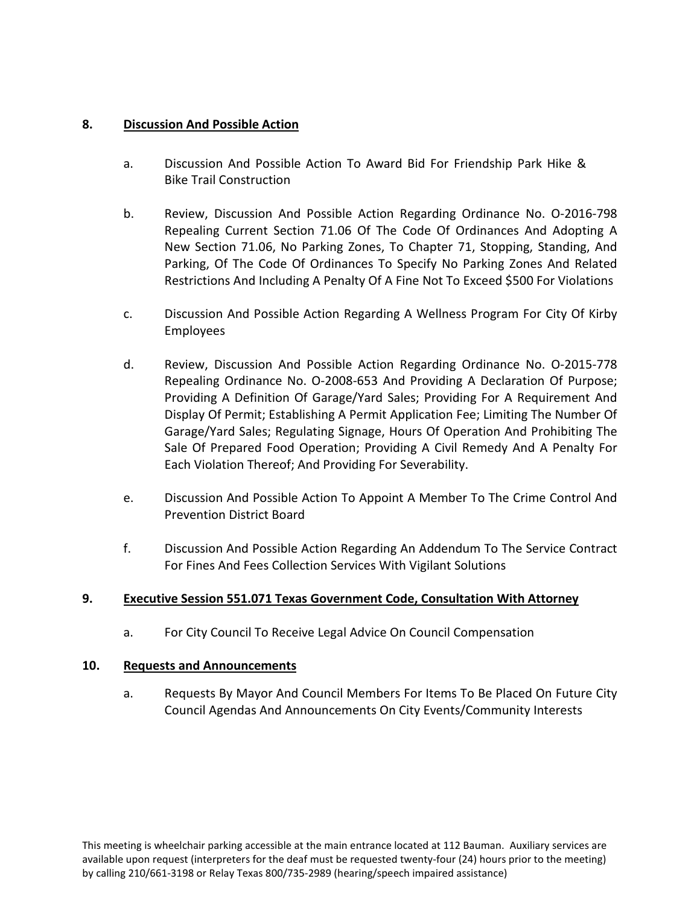# **8. Discussion And Possible Action**

- a. Discussion And Possible Action To Award Bid For Friendship Park Hike & Bike Trail Construction
- b. Review, Discussion And Possible Action Regarding Ordinance No. O-2016-798 Repealing Current Section 71.06 Of The Code Of Ordinances And Adopting A New Section 71.06, No Parking Zones, To Chapter 71, Stopping, Standing, And Parking, Of The Code Of Ordinances To Specify No Parking Zones And Related Restrictions And Including A Penalty Of A Fine Not To Exceed \$500 For Violations
- c. Discussion And Possible Action Regarding A Wellness Program For City Of Kirby Employees
- d. Review, Discussion And Possible Action Regarding Ordinance No. O-2015-778 Repealing Ordinance No. O-2008-653 And Providing A Declaration Of Purpose; Providing A Definition Of Garage/Yard Sales; Providing For A Requirement And Display Of Permit; Establishing A Permit Application Fee; Limiting The Number Of Garage/Yard Sales; Regulating Signage, Hours Of Operation And Prohibiting The Sale Of Prepared Food Operation; Providing A Civil Remedy And A Penalty For Each Violation Thereof; And Providing For Severability.
- e. Discussion And Possible Action To Appoint A Member To The Crime Control And Prevention District Board
- f. Discussion And Possible Action Regarding An Addendum To The Service Contract For Fines And Fees Collection Services With Vigilant Solutions

# **9. Executive Session 551.071 Texas Government Code, Consultation With Attorney**

a. For City Council To Receive Legal Advice On Council Compensation

# **10. Requests and Announcements**

a. Requests By Mayor And Council Members For Items To Be Placed On Future City Council Agendas And Announcements On City Events/Community Interests